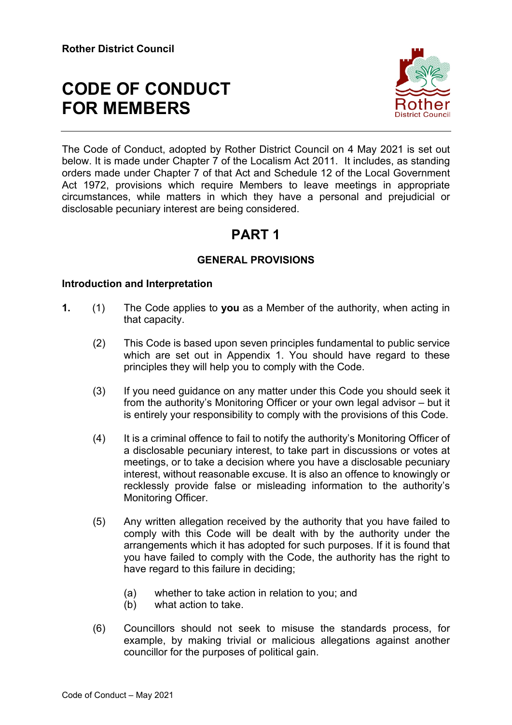# **CODE OF CONDUCT FOR MEMBERS**



The Code of Conduct, adopted by Rother District Council on 4 May 2021 is set out below. It is made under Chapter 7 of the Localism Act 2011. It includes, as standing orders made under Chapter 7 of that Act and Schedule 12 of the Local Government Act 1972, provisions which require Members to leave meetings in appropriate circumstances, while matters in which they have a personal and prejudicial or disclosable pecuniary interest are being considered.

# **PART 1**

# **GENERAL PROVISIONS**

### **Introduction and Interpretation**

- **1.** (1) The Code applies to **you** as a Member of the authority, when acting in that capacity.
	- (2) This Code is based upon seven principles fundamental to public service which are set out in Appendix 1. You should have regard to these principles they will help you to comply with the Code.
	- (3) If you need guidance on any matter under this Code you should seek it from the authority's Monitoring Officer or your own legal advisor – but it is entirely your responsibility to comply with the provisions of this Code.
	- (4) It is a criminal offence to fail to notify the authority's Monitoring Officer of a disclosable pecuniary interest, to take part in discussions or votes at meetings, or to take a decision where you have a disclosable pecuniary interest, without reasonable excuse. It is also an offence to knowingly or recklessly provide false or misleading information to the authority's Monitoring Officer.
	- (5) Any written allegation received by the authority that you have failed to comply with this Code will be dealt with by the authority under the arrangements which it has adopted for such purposes. If it is found that you have failed to comply with the Code, the authority has the right to have regard to this failure in deciding;
		- (a) whether to take action in relation to you; and
		- (b) what action to take.
	- (6) Councillors should not seek to misuse the standards process, for example, by making trivial or malicious allegations against another councillor for the purposes of political gain.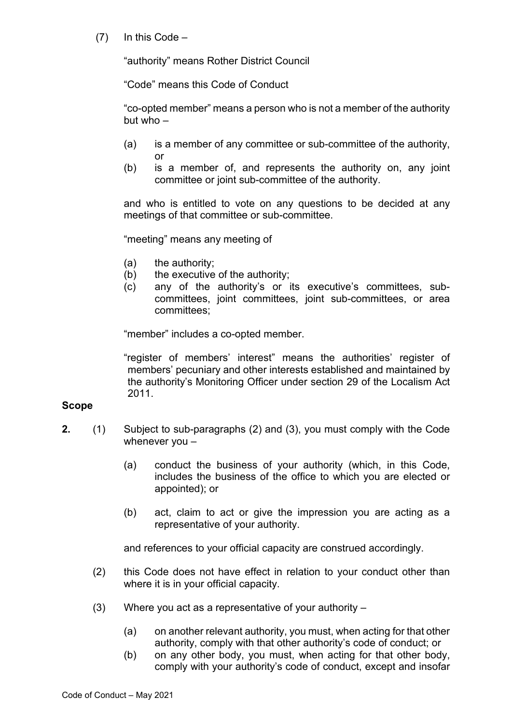$(7)$  In this Code –

"authority" means Rother District Council

"Code" means this Code of Conduct

"co-opted member" means a person who is not a member of the authority but who –

- (a) is a member of any committee or sub-committee of the authority, or
- (b) is a member of, and represents the authority on, any joint committee or joint sub-committee of the authority.

and who is entitled to vote on any questions to be decided at any meetings of that committee or sub-committee.

"meeting" means any meeting of

- (a) the authority;
- (b) the executive of the authority;
- (c) any of the authority's or its executive's committees, subcommittees, joint committees, joint sub-committees, or area committees;

"member" includes a co-opted member.

"register of members' interest" means the authorities' register of members' pecuniary and other interests established and maintained by the authority's Monitoring Officer under section 29 of the Localism Act 2011.

#### **Scope**

- **2.** (1) Subject to sub-paragraphs (2) and (3), you must comply with the Code whenever you –
	- (a) conduct the business of your authority (which, in this Code, includes the business of the office to which you are elected or appointed); or
	- (b) act, claim to act or give the impression you are acting as a representative of your authority.

and references to your official capacity are construed accordingly.

- (2) this Code does not have effect in relation to your conduct other than where it is in your official capacity.
- (3) Where you act as a representative of your authority
	- (a) on another relevant authority, you must, when acting for that other authority, comply with that other authority's code of conduct; or
	- (b) on any other body, you must, when acting for that other body, comply with your authority's code of conduct, except and insofar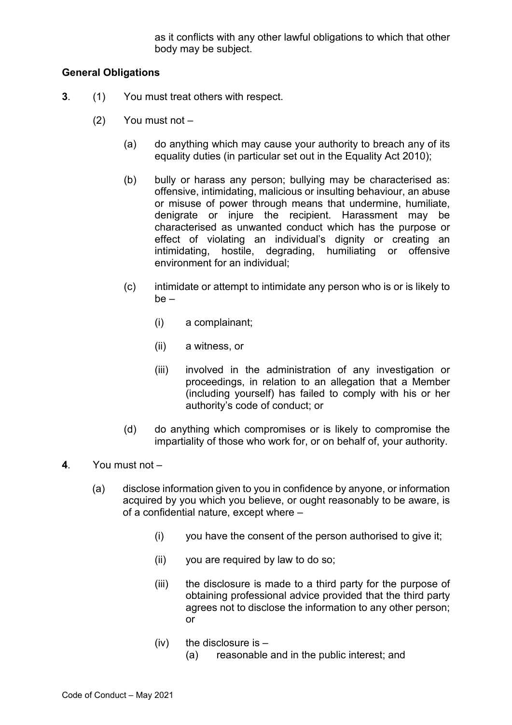as it conflicts with any other lawful obligations to which that other body may be subject.

### **General Obligations**

- **3**. (1) You must treat others with respect.
	- (2) You must not
		- (a) do anything which may cause your authority to breach any of its equality duties (in particular set out in the Equality Act 2010);
		- (b) bully or harass any person; bullying may be characterised as: offensive, intimidating, malicious or insulting behaviour, an abuse or misuse of power through means that undermine, humiliate, denigrate or injure the recipient. Harassment may be characterised as unwanted conduct which has the purpose or effect of violating an individual's dignity or creating an intimidating, hostile, degrading, humiliating or offensive environment for an individual;
		- (c) intimidate or attempt to intimidate any person who is or is likely to be –
			- (i) a complainant;
			- (ii) a witness, or
			- (iii) involved in the administration of any investigation or proceedings, in relation to an allegation that a Member (including yourself) has failed to comply with his or her authority's code of conduct; or
		- (d) do anything which compromises or is likely to compromise the impartiality of those who work for, or on behalf of, your authority.
- **4**. You must not
	- (a) disclose information given to you in confidence by anyone, or information acquired by you which you believe, or ought reasonably to be aware, is of a confidential nature, except where –
		- (i) you have the consent of the person authorised to give it;
		- (ii) you are required by law to do so;
		- (iii) the disclosure is made to a third party for the purpose of obtaining professional advice provided that the third party agrees not to disclose the information to any other person; or
		- $(iv)$  the disclosure is  $-$ 
			- (a) reasonable and in the public interest; and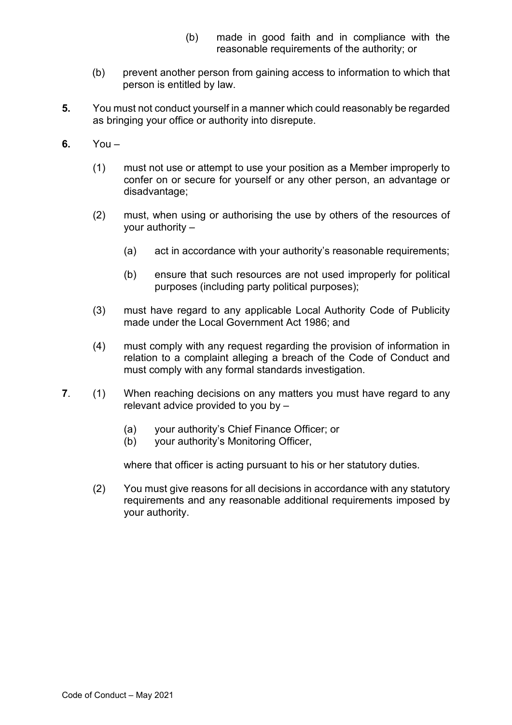- (b) made in good faith and in compliance with the reasonable requirements of the authority; or
- (b) prevent another person from gaining access to information to which that person is entitled by law.
- **5.** You must not conduct yourself in a manner which could reasonably be regarded as bringing your office or authority into disrepute.
- **6.** You
	- (1) must not use or attempt to use your position as a Member improperly to confer on or secure for yourself or any other person, an advantage or disadvantage;
	- (2) must, when using or authorising the use by others of the resources of your authority –
		- (a) act in accordance with your authority's reasonable requirements;
		- (b) ensure that such resources are not used improperly for political purposes (including party political purposes);
	- (3) must have regard to any applicable Local Authority Code of Publicity made under the Local Government Act 1986; and
	- (4) must comply with any request regarding the provision of information in relation to a complaint alleging a breach of the Code of Conduct and must comply with any formal standards investigation.
- **7**. (1) When reaching decisions on any matters you must have regard to any relevant advice provided to you by –
	- (a) your authority's Chief Finance Officer; or
	- (b) your authority's Monitoring Officer,

where that officer is acting pursuant to his or her statutory duties.

(2) You must give reasons for all decisions in accordance with any statutory requirements and any reasonable additional requirements imposed by your authority.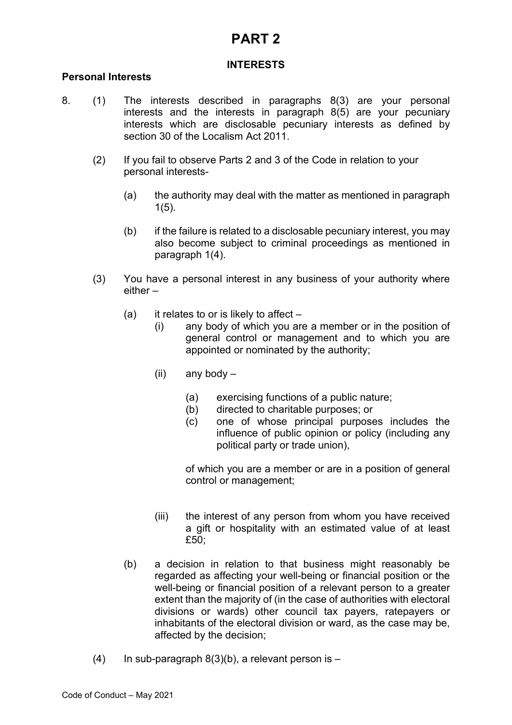# **PART 2**

### **INTERESTS**

#### **Personal Interests**

- 8. (1) The interests described in paragraphs 8(3) are your personal interests and the interests in paragraph 8(5) are your pecuniary interests which are disclosable pecuniary interests as defined by section 30 of the Localism Act 2011.
	- (2) If you fail to observe Parts 2 and 3 of the Code in relation to your personal interests-
		- (a) the authority may deal with the matter as mentioned in paragraph 1(5).
		- (b) if the failure is related to a disclosable pecuniary interest, you may also become subject to criminal proceedings as mentioned in paragraph 1(4).
	- (3) You have a personal interest in any business of your authority where either –
		- (a) it relates to or is likely to affect  $-$ 
			- (i) any body of which you are a member or in the position of general control or management and to which you are appointed or nominated by the authority;
			- (ii) any body
				- (a) exercising functions of a public nature;
				- (b) directed to charitable purposes; or
				- (c) one of whose principal purposes includes the influence of public opinion or policy (including any political party or trade union),

of which you are a member or are in a position of general control or management;

- (iii) the interest of any person from whom you have received a gift or hospitality with an estimated value of at least £50;
- (b) a decision in relation to that business might reasonably be regarded as affecting your well-being or financial position or the well-being or financial position of a relevant person to a greater extent than the majority of (in the case of authorities with electoral divisions or wards) other council tax payers, ratepayers or inhabitants of the electoral division or ward, as the case may be, affected by the decision;
- (4) In sub-paragraph  $8(3)(b)$ , a relevant person is –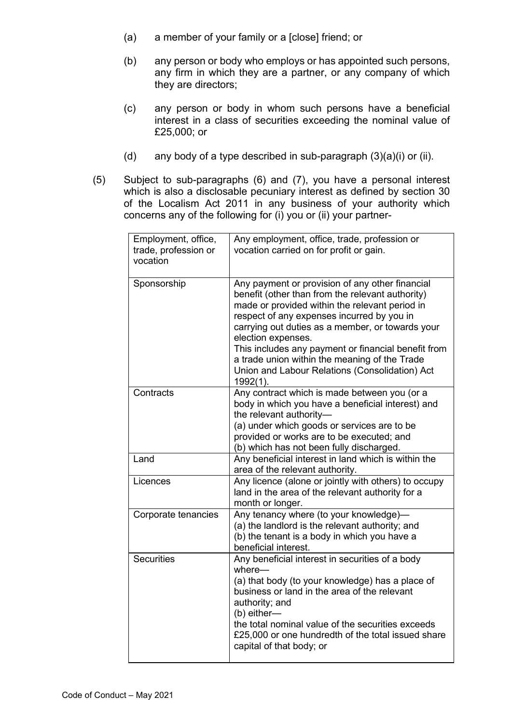- (a) a member of your family or a [close] friend; or
- (b) any person or body who employs or has appointed such persons, any firm in which they are a partner, or any company of which they are directors;
- (c) any person or body in whom such persons have a beneficial interest in a class of securities exceeding the nominal value of £25,000; or
- (d) any body of a type described in sub-paragraph  $(3)(a)(i)$  or (ii).
- (5) Subject to sub-paragraphs (6) and (7), you have a personal interest which is also a disclosable pecuniary interest as defined by section 30 of the Localism Act 2011 in any business of your authority which concerns any of the following for (i) you or (ii) your partner-

| Employment, office,<br>trade, profession or<br>vocation | Any employment, office, trade, profession or<br>vocation carried on for profit or gain.                                                                                                                                                                                                                                                                                                                                                                |
|---------------------------------------------------------|--------------------------------------------------------------------------------------------------------------------------------------------------------------------------------------------------------------------------------------------------------------------------------------------------------------------------------------------------------------------------------------------------------------------------------------------------------|
| Sponsorship                                             | Any payment or provision of any other financial<br>benefit (other than from the relevant authority)<br>made or provided within the relevant period in<br>respect of any expenses incurred by you in<br>carrying out duties as a member, or towards your<br>election expenses.<br>This includes any payment or financial benefit from<br>a trade union within the meaning of the Trade<br>Union and Labour Relations (Consolidation) Act<br>$1992(1)$ . |
| Contracts                                               | Any contract which is made between you (or a<br>body in which you have a beneficial interest) and<br>the relevant authority-<br>(a) under which goods or services are to be<br>provided or works are to be executed; and<br>(b) which has not been fully discharged.                                                                                                                                                                                   |
| Land                                                    | Any beneficial interest in land which is within the<br>area of the relevant authority.                                                                                                                                                                                                                                                                                                                                                                 |
| Licences                                                | Any licence (alone or jointly with others) to occupy<br>land in the area of the relevant authority for a<br>month or longer.                                                                                                                                                                                                                                                                                                                           |
| Corporate tenancies                                     | Any tenancy where (to your knowledge)-<br>(a) the landlord is the relevant authority; and<br>(b) the tenant is a body in which you have a<br>beneficial interest.                                                                                                                                                                                                                                                                                      |
| <b>Securities</b>                                       | Any beneficial interest in securities of a body<br>where-<br>(a) that body (to your knowledge) has a place of<br>business or land in the area of the relevant<br>authority; and<br>$(b)$ either-<br>the total nominal value of the securities exceeds<br>£25,000 or one hundredth of the total issued share<br>capital of that body; or                                                                                                                |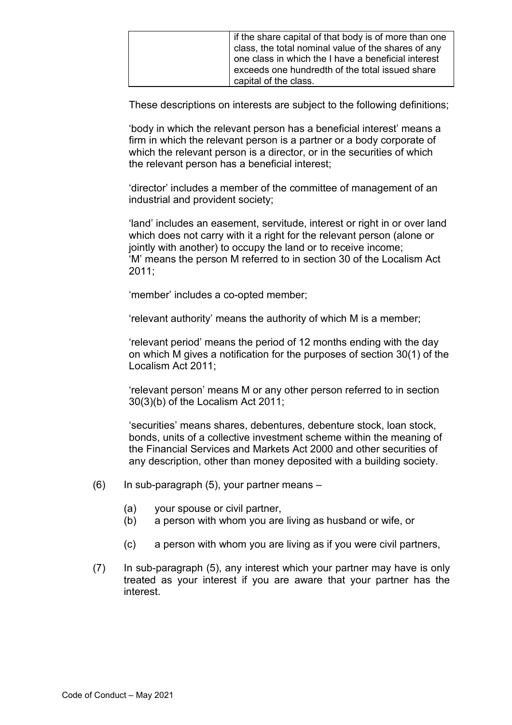| If the share capital of that body is of more than one |
|-------------------------------------------------------|
| class, the total nominal value of the shares of any   |
| one class in which the I have a beneficial interest   |
| exceeds one hundredth of the total issued share       |
| capital of the class.                                 |

These descriptions on interests are subject to the following definitions;

'body in which the relevant person has a beneficial interest' means a firm in which the relevant person is a partner or a body corporate of which the relevant person is a director, or in the securities of which the relevant person has a beneficial interest;

'director' includes a member of the committee of management of an industrial and provident society;

'land' includes an easement, servitude, interest or right in or over land which does not carry with it a right for the relevant person (alone or jointly with another) to occupy the land or to receive income; 'M' means the person M referred to in section 30 of the Localism Act  $2011$ 

'member' includes a co-opted member;

'relevant authority' means the authority of which M is a member;

'relevant period' means the period of 12 months ending with the day on which M gives a notification for the purposes of section 30(1) of the Localism Act 2011;

'relevant person' means M or any other person referred to in section 30(3)(b) of the Localism Act 2011;

'securities' means shares, debentures, debenture stock, loan stock, bonds, units of a collective investment scheme within the meaning of the Financial Services and Markets Act 2000 and other securities of any description, other than money deposited with a building society.

- $(6)$  In sub-paragraph  $(5)$ , your partner means
	- (a) your spouse or civil partner,
	- (b) a person with whom you are living as husband or wife, or
	- (c) a person with whom you are living as if you were civil partners,
- (7) In sub-paragraph (5), any interest which your partner may have is only treated as your interest if you are aware that your partner has the interest.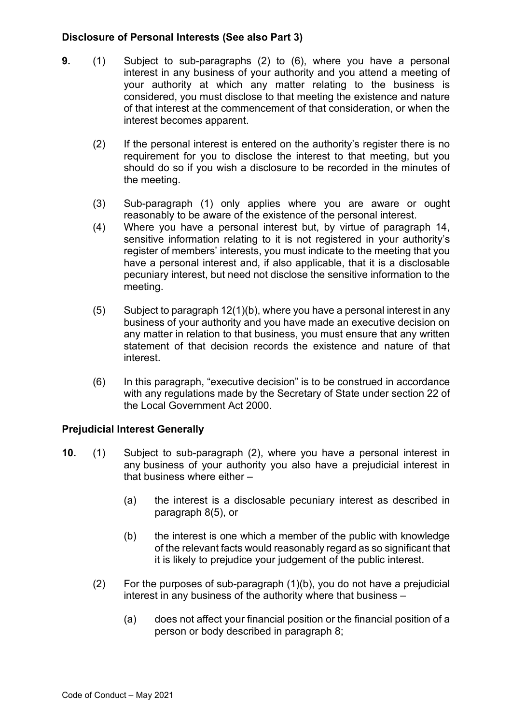### **Disclosure of Personal Interests (See also Part 3)**

- **9.** (1) Subject to sub-paragraphs (2) to (6), where you have a personal interest in any business of your authority and you attend a meeting of your authority at which any matter relating to the business is considered, you must disclose to that meeting the existence and nature of that interest at the commencement of that consideration, or when the interest becomes apparent.
	- (2) If the personal interest is entered on the authority's register there is no requirement for you to disclose the interest to that meeting, but you should do so if you wish a disclosure to be recorded in the minutes of the meeting.
	- (3) Sub-paragraph (1) only applies where you are aware or ought reasonably to be aware of the existence of the personal interest.
	- (4) Where you have a personal interest but, by virtue of paragraph 14, sensitive information relating to it is not registered in your authority's register of members' interests, you must indicate to the meeting that you have a personal interest and, if also applicable, that it is a disclosable pecuniary interest, but need not disclose the sensitive information to the meeting.
	- $(5)$  Subject to paragraph 12(1)(b), where you have a personal interest in any business of your authority and you have made an executive decision on any matter in relation to that business, you must ensure that any written statement of that decision records the existence and nature of that interest.
	- (6) In this paragraph, "executive decision" is to be construed in accordance with any regulations made by the Secretary of State under section 22 of the Local Government Act 2000.

#### **Prejudicial Interest Generally**

- **10.** (1) Subject to sub-paragraph (2), where you have a personal interest in any business of your authority you also have a prejudicial interest in that business where either –
	- (a) the interest is a disclosable pecuniary interest as described in paragraph 8(5), or
	- (b) the interest is one which a member of the public with knowledge of the relevant facts would reasonably regard as so significant that it is likely to prejudice your judgement of the public interest.
	- (2) For the purposes of sub-paragraph (1)(b), you do not have a prejudicial interest in any business of the authority where that business –
		- (a) does not affect your financial position or the financial position of a person or body described in paragraph 8;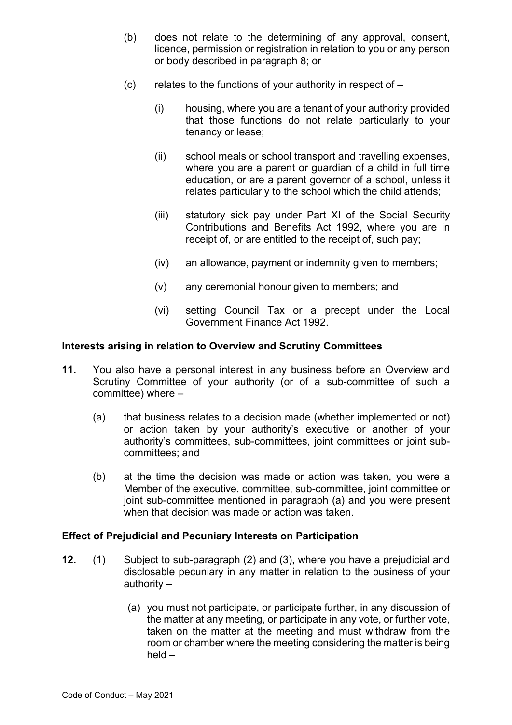- (b) does not relate to the determining of any approval, consent, licence, permission or registration in relation to you or any person or body described in paragraph 8; or
- (c) relates to the functions of your authority in respect of  $-$ 
	- (i) housing, where you are a tenant of your authority provided that those functions do not relate particularly to your tenancy or lease;
	- (ii) school meals or school transport and travelling expenses, where you are a parent or guardian of a child in full time education, or are a parent governor of a school, unless it relates particularly to the school which the child attends;
	- (iii) statutory sick pay under Part XI of the Social Security Contributions and Benefits Act 1992, where you are in receipt of, or are entitled to the receipt of, such pay;
	- (iv) an allowance, payment or indemnity given to members;
	- (v) any ceremonial honour given to members; and
	- (vi) setting Council Tax or a precept under the Local Government Finance Act 1992.

#### **Interests arising in relation to Overview and Scrutiny Committees**

- **11.** You also have a personal interest in any business before an Overview and Scrutiny Committee of your authority (or of a sub-committee of such a committee) where  $-$ 
	- (a) that business relates to a decision made (whether implemented or not) or action taken by your authority's executive or another of your authority's committees, sub-committees, joint committees or joint subcommittees; and
	- (b) at the time the decision was made or action was taken, you were a Member of the executive, committee, sub-committee, joint committee or joint sub-committee mentioned in paragraph (a) and you were present when that decision was made or action was taken.

#### **Effect of Prejudicial and Pecuniary Interests on Participation**

- **12.** (1) Subject to sub-paragraph (2) and (3), where you have a prejudicial and disclosable pecuniary in any matter in relation to the business of your authority –
	- (a) you must not participate, or participate further, in any discussion of the matter at any meeting, or participate in any vote, or further vote, taken on the matter at the meeting and must withdraw from the room or chamber where the meeting considering the matter is being held –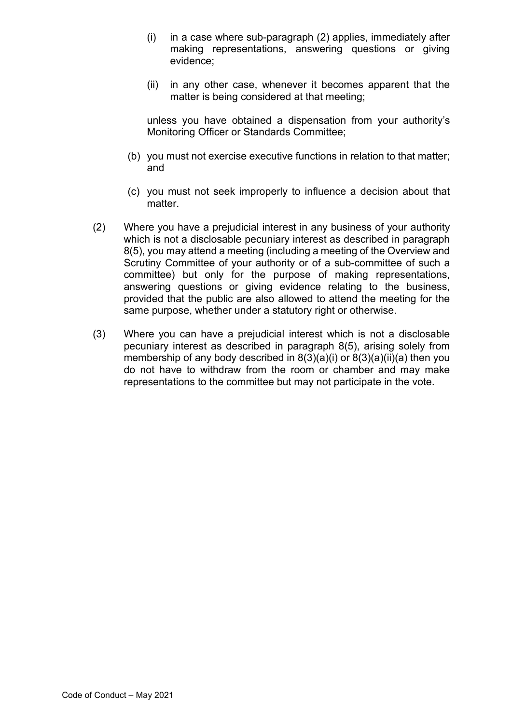- (i) in a case where sub-paragraph (2) applies, immediately after making representations, answering questions or giving evidence;
- (ii) in any other case, whenever it becomes apparent that the matter is being considered at that meeting;

unless you have obtained a dispensation from your authority's Monitoring Officer or Standards Committee;

- (b) you must not exercise executive functions in relation to that matter; and
- (c) you must not seek improperly to influence a decision about that matter.
- (2) Where you have a prejudicial interest in any business of your authority which is not a disclosable pecuniary interest as described in paragraph 8(5), you may attend a meeting (including a meeting of the Overview and Scrutiny Committee of your authority or of a sub-committee of such a committee) but only for the purpose of making representations, answering questions or giving evidence relating to the business, provided that the public are also allowed to attend the meeting for the same purpose, whether under a statutory right or otherwise.
- (3) Where you can have a prejudicial interest which is not a disclosable pecuniary interest as described in paragraph 8(5), arising solely from membership of any body described in 8(3)(a)(i) or 8(3)(a)(ii)(a) then you do not have to withdraw from the room or chamber and may make representations to the committee but may not participate in the vote.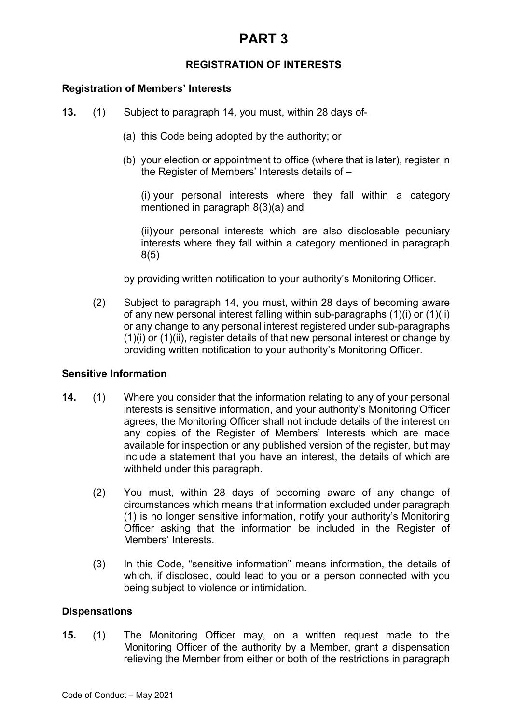# **PART 3**

## **REGISTRATION OF INTERESTS**

#### **Registration of Members' Interests**

- **13.** (1) Subject to paragraph 14, you must, within 28 days of-
	- (a) this Code being adopted by the authority; or
	- (b) your election or appointment to office (where that is later), register in the Register of Members' Interests details of –

(i) your personal interests where they fall within a category mentioned in paragraph 8(3)(a) and

(ii)your personal interests which are also disclosable pecuniary interests where they fall within a category mentioned in paragraph 8(5)

by providing written notification to your authority's Monitoring Officer.

(2) Subject to paragraph 14, you must, within 28 days of becoming aware of any new personal interest falling within sub-paragraphs (1)(i) or (1)(ii) or any change to any personal interest registered under sub-paragraphs (1)(i) or (1)(ii), register details of that new personal interest or change by providing written notification to your authority's Monitoring Officer.

#### **Sensitive Information**

- **14.** (1) Where you consider that the information relating to any of your personal interests is sensitive information, and your authority's Monitoring Officer agrees, the Monitoring Officer shall not include details of the interest on any copies of the Register of Members' Interests which are made available for inspection or any published version of the register, but may include a statement that you have an interest, the details of which are withheld under this paragraph.
	- (2) You must, within 28 days of becoming aware of any change of circumstances which means that information excluded under paragraph (1) is no longer sensitive information, notify your authority's Monitoring Officer asking that the information be included in the Register of Members' Interests.
	- (3) In this Code, "sensitive information" means information, the details of which, if disclosed, could lead to you or a person connected with you being subject to violence or intimidation.

#### **Dispensations**

**15.** (1) The Monitoring Officer may, on a written request made to the Monitoring Officer of the authority by a Member, grant a dispensation relieving the Member from either or both of the restrictions in paragraph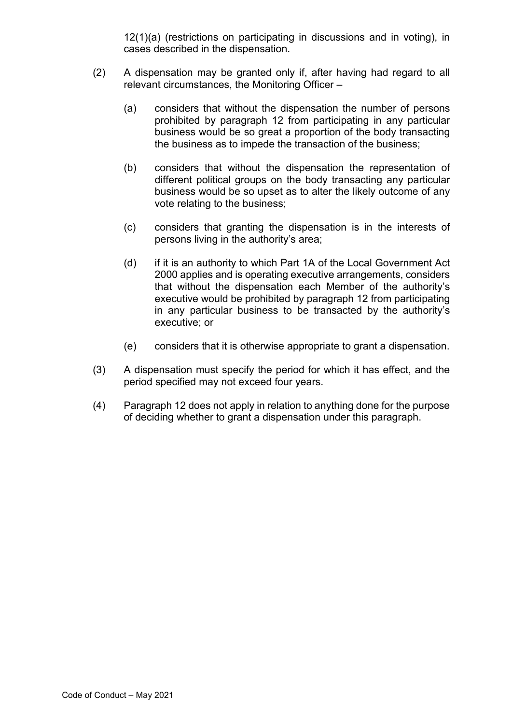12(1)(a) (restrictions on participating in discussions and in voting), in cases described in the dispensation.

- (2) A dispensation may be granted only if, after having had regard to all relevant circumstances, the Monitoring Officer –
	- (a) considers that without the dispensation the number of persons prohibited by paragraph 12 from participating in any particular business would be so great a proportion of the body transacting the business as to impede the transaction of the business;
	- (b) considers that without the dispensation the representation of different political groups on the body transacting any particular business would be so upset as to alter the likely outcome of any vote relating to the business;
	- (c) considers that granting the dispensation is in the interests of persons living in the authority's area;
	- (d) if it is an authority to which Part 1A of the Local Government Act 2000 applies and is operating executive arrangements, considers that without the dispensation each Member of the authority's executive would be prohibited by paragraph 12 from participating in any particular business to be transacted by the authority's executive; or
	- (e) considers that it is otherwise appropriate to grant a dispensation.
- (3) A dispensation must specify the period for which it has effect, and the period specified may not exceed four years.
- (4) Paragraph 12 does not apply in relation to anything done for the purpose of deciding whether to grant a dispensation under this paragraph.